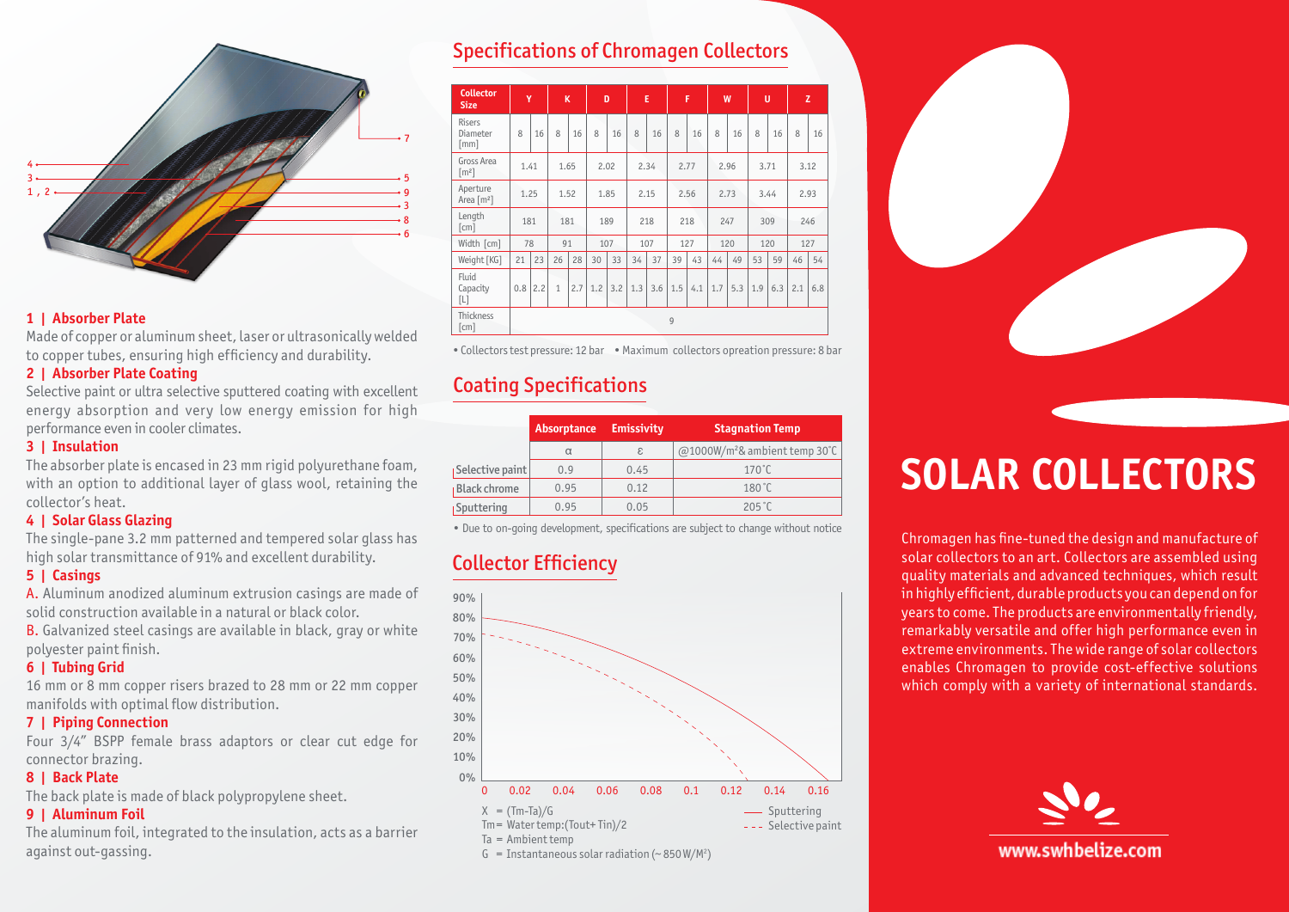

#### **1** | Absorber Plate

Made of copper or aluminum sheet, laser or ultrasonically welded to copper tubes, ensuring high efficiency and durability.

#### **2** | Absorber Plate Coating

Selective paint or ultra selective sputtered coating with excellent energy absorption and very low energy emission for high performance even in cooler climates.

#### **3** | Insulation

The absorber plate is encased in 23 mm rigid polyurethane foam, with an option to additional layer of glass wool, retaining the collector's heat.

#### **4** | Solar Glass Glazing

The single-pane 3.2 mm patterned and tempered solar glass has high solar transmittance of 91% and excellent durability.

#### **Casings | 5**

A. Aluminum anodized aluminum extrusion casings are made of solid construction available in a natural or black color.

**B.** Galvanized steel casings are available in black, gray or white polyester paint finish.

#### **6** | Tubing Grid

16 mm or 8 mm copper risers brazed to 28 mm or 22 mm copper manifolds with optimal flow distribution.

#### **7** | Piping Connection

Four 3/4" BSPP female brass adaptors or clear cut edge for connector brazing.

#### **8** | Back Plate

The back plate is made of black polypropylene sheet.

#### **9** | Aluminum Foil

The aluminum foil, integrated to the insulation, acts as a barrier against out-gassing.

## **Specifications of Chromagen Collectors**

| <b>Collector</b><br><b>Size</b>          | Ÿ              |     | K            |     | D    |     | E    |     | F    |     | W    |     | U    |     | z    |     |
|------------------------------------------|----------------|-----|--------------|-----|------|-----|------|-----|------|-----|------|-----|------|-----|------|-----|
| <b>Risers</b><br>Diameter<br>[mm]        | 8              | 16  | 8            | 16  | 8    | 16  | 8    | 16  | 8    | 16  | 8    | 16  | 8    | 16  | 8    | 16  |
| Gross Area<br>$\lceil m^2 \rceil$        | 1.41           |     | 1.65         |     | 2.02 |     | 2.34 |     | 2.77 |     | 2.96 |     | 3.71 |     | 3.12 |     |
| Aperture<br>Area [m <sup>2</sup> ]       | 1.25           |     | 1.52         |     | 1.85 |     | 2.15 |     | 2.56 |     | 2.73 |     | 3.44 |     | 2.93 |     |
| Length<br>[cm]                           | 181            |     | 181          |     | 189  |     | 218  |     | 218  |     | 247  |     | 309  |     | 246  |     |
| Width [cm]                               | 78             |     | 91           |     | 107  |     | 107  |     | 127  |     | 120  |     | 120  |     | 127  |     |
| Weight [KG]                              | 21             | 23  | 26           | 28  | 30   | 33  | 34   | 37  | 39   | 43  | 44   | 49  | 53   | 59  | 46   | 54  |
| Fluid<br>Capacity<br>[L]                 | 0.8            | 2.2 | $\mathbf{1}$ | 2.7 | 1.2  | 3.2 | 1.3  | 3.6 | 1.5  | 4.1 | 1.7  | 5.3 | 1.9  | 6.3 | 2.1  | 6.8 |
| <b>Thickness</b><br>$\lceil$ cm $\rceil$ | $\overline{9}$ |     |              |     |      |     |      |     |      |     |      |     |      |     |      |     |

• Collectors test pressure: 12 bar • Maximum collectors opreation pressure: 8 bar

# **Coating Specifications**

|                     | Absorptance | <b>Emissivity</b> | <b>Stagnation Temp</b>          |  |  |  |  |
|---------------------|-------------|-------------------|---------------------------------|--|--|--|--|
|                     | $\alpha$    | ε                 | $@1000W/m2$ & ambient temp 30°C |  |  |  |  |
| Selective paint     | 0.9         | 0.45              | $170^{\circ}$ C                 |  |  |  |  |
| <b>Black chrome</b> | 0.95        | 0.12              | $180^{\circ}$ C                 |  |  |  |  |
| Sputtering          | 0.95        | 0.05              | $205^{\circ}$ C                 |  |  |  |  |

• Due to on-going development, specifications are subject to change without notice

## **Collector Efficiency**





# **SOLAR COLLECTORS**

Chromagen has fine-tuned the design and manufacture of solar collectors to an art. Collectors are assembled using quality materials and advanced techniques, which result in highly efficient, durable products you can depend on for years to come. The products are environmentally friendly, remarkably versatile and offer high performance even in extreme environments. The wide range of solar collectors enables Chromagen to provide cost-effective solutions which comply with a variety of international standards.